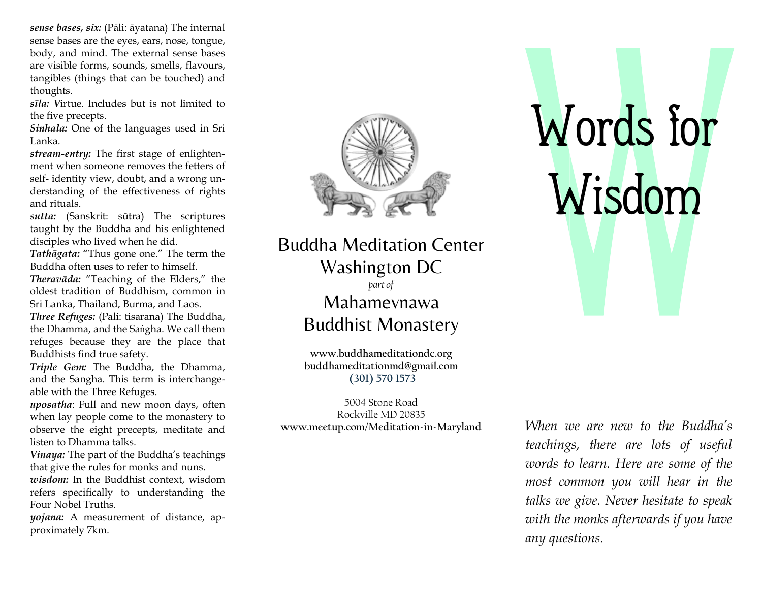sense bases, six: (Pāli: āyatana) The internal sense bases are the eyes, ears, nose, tongue, body, and mind. The external sense bases are visible forms, sounds, smells, flavours, tangibles (things that can be touched) and thoughts.

sīla: Virtue. Includes but is not limited to the five precepts.

Sinhala: One of the languages used in Sri Lanka.

stream-entry: The first stage of enlightenment when someone removes the fetters of self- identity view, doubt, and a wrong understanding of the effectiveness of rights and rituals.

sutta: (Sanskrit: sūtra) The scriptures taught by the Buddha and his enlightened disciples who lived when he did.

Tathāgata: "Thus gone one." The term the Buddha often uses to refer to himself.

Theravāda: "Teaching of the Elders," the oldest tradition of Buddhism, common in Sri Lanka, Thailand, Burma, and Laos.

Three Refuges: (Pali: tisarana) The Buddha, the Dhamma, and the Saṅgha. We call them refuges because they are the place that Buddhists find true safety.

Triple Gem: The Buddha, the Dhamma, and the Sangha. This term is interchangeable with the Three Refuges.

uposatha: Full and new moon days, often when lay people come to the monastery to observe the eight precepts, meditate and listen to Dhamma talks.

Vinaya: The part of the Buddha's teachings that give the rules for monks and nuns.

wisdom: In the Buddhist context, wisdom refers specifically to understanding the Four Nobel Truths.

yojana: A measurement of distance, approximately 7km.



Buddha Meditation Buddha Meditation Center Washington DC part of Mahamevnawa Buddhist Monastery

> www.buddhameditationdc.org buddhameditationmd@gmail.com (301) 570 1573

www.meetup.com/Meditation 5004 Stone Road Rockville MD 20835

## Words for Wisdom

When we are new to the Buddha's teachings, there are lots of useful words to learn. Here are some of the most common you will hear in the talks we give. Never hesitate to speak with the monks afterwards if you have any questions.